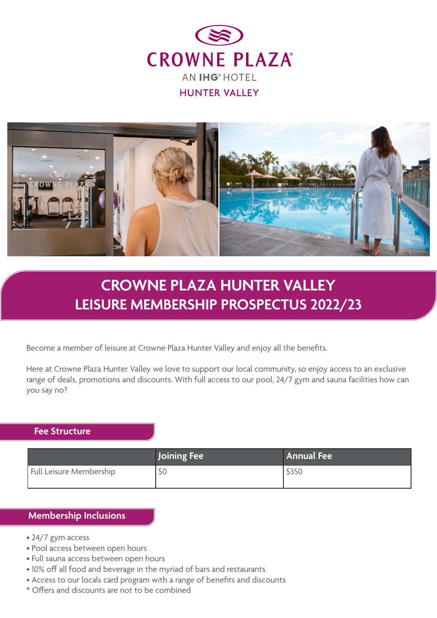



## **CROWNE PLAZA HUNTER VALLEY LEISURE MEMBERSHIP PROSPECTUS 2022/23**

Become a member of leisure at Crowne Plaza Hunter Valley and enjoy all the benefits.

Here at Crowne Plaza Hunter Valley we love to support our local community, so enjoy access to an exclusive range of deals, promotions and discounts. With full access to our pool, 24/7 gym and sauna facilities how can you say no?

## **Fee Structure**

|                         | Joining Fee | Annual Fee |
|-------------------------|-------------|------------|
| Full Leisure Membership | ЭC          | \$350      |

## **Membership Inclusions**

- 24/7 gym access
- Pool access between open hours
- Full sauna access between open hours
- 10% off all food and beverage in the myriad of bars and restaurants
- Access to our locals card program with a range of benefits and discounts
- \* Offers and discounts are not to be combined